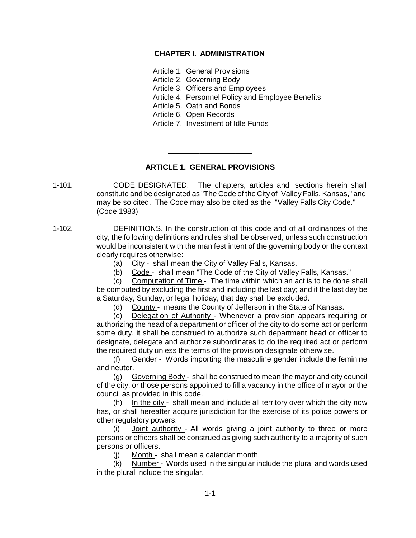## **CHAPTER I. ADMINISTRATION**

Article 1. General Provisions

Article 2. Governing Body

Article 3. Officers and Employees

Article 4. Personnel Policy and Employee Benefits

Article 5. Oath and Bonds

Article 6. Open Records

Article 7. Investment of Idle Funds

## **ARTICLE 1. GENERAL PROVISIONS**

\_\_\_\_\_\_\_\_\_ \_\_\_\_\_\_\_\_

1-101. CODE DESIGNATED. The chapters, articles and sections herein shall constitute and be designated as "The Code of the City of Valley Falls, Kansas," and may be so cited. The Code may also be cited as the "Valley Falls City Code." (Code 1983)

1-102. DEFINITIONS. In the construction of this code and of all ordinances of the city, the following definitions and rules shall be observed, unless such construction would be inconsistent with the manifest intent of the governing body or the context clearly requires otherwise:

(a) City - shall mean the City of Valley Falls, Kansas.

(b) Code - shall mean "The Code of the City of Valley Falls, Kansas."

(c) Computation of Time - The time within which an act is to be done shall be computed by excluding the first and including the last day; and if the last day be a Saturday, Sunday, or legal holiday, that day shall be excluded.

(d) County - means the County of Jefferson in the State of Kansas.

(e) Delegation of Authority - Whenever a provision appears requiring or authorizing the head of a department or officer of the city to do some act or perform some duty, it shall be construed to authorize such department head or officer to designate, delegate and authorize subordinates to do the required act or perform the required duty unless the terms of the provision designate otherwise.

(f) Gender - Words importing the masculine gender include the feminine and neuter.

(g) Governing Body - shall be construed to mean the mayor and city council of the city, or those persons appointed to fill a vacancy in the office of mayor or the council as provided in this code.

(h) In the city - shall mean and include all territory over which the city now has, or shall hereafter acquire jurisdiction for the exercise of its police powers or other regulatory powers.

(i) **Joint authority** - All words giving a joint authority to three or more persons or officers shall be construed as giving such authority to a majority of such persons or officers.

(j) Month - shall mean a calendar month.

(k) Number - Words used in the singular include the plural and words used in the plural include the singular.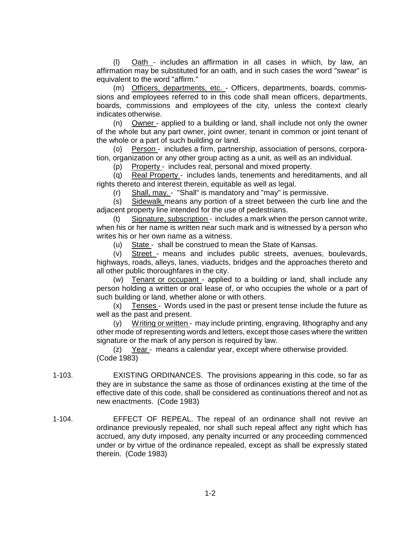(l) Oath - includes an affirmation in all cases in which, by law, an affirmation may be substituted for an oath, and in such cases the word "swear" is equivalent to the word "affirm."

(m) Officers, departments, etc. - Officers, departments, boards, commissions and employees referred to in this code shall mean officers, departments, boards, commissions and employees of the city, unless the context clearly indicates otherwise.

(n) Owner - applied to a building or land, shall include not only the owner of the whole but any part owner, joint owner, tenant in common or joint tenant of the whole or a part of such building or land.

(o) Person - includes a firm, partnership, association of persons, corporation, organization or any other group acting as a unit, as well as an individual.

(p) Property - includes real, personal and mixed property.

(q) Real Property - includes lands, tenements and hereditaments, and all rights thereto and interest therein, equitable as well as legal.

(r) Shall, may. - "Shall" is mandatory and "may" is permissive.

(s) Sidewalk means any portion of a street between the curb line and the adjacent property line intended for the use of pedestrians.

(t) Signature, subscription - includes a mark when the person cannot write, when his or her name is written near such mark and is witnessed by a person who writes his or her own name as a witness.

(u) State - shall be construed to mean the State of Kansas.

(v) Street - means and includes public streets, avenues, boulevards, highways, roads, alleys, lanes, viaducts, bridges and the approaches thereto and all other public thoroughfares in the city.

(w) Tenant or occupant - applied to a building or land, shall include any person holding a written or oral lease of, or who occupies the whole or a part of such building or land, whether alone or with others.

(x) Tenses - Words used in the past or present tense include the future as well as the past and present.

(y) Writing or written - may include printing, engraving, lithography and any other mode of representing words and letters, except those cases where the written signature or the mark of any person is required by law.

(z) Year - means a calendar year, except where otherwise provided. (Code 1983)

- 1-103. EXISTING ORDINANCES. The provisions appearing in this code, so far as they are in substance the same as those of ordinances existing at the time of the effective date of this code, shall be considered as continuations thereof and not as new enactments. (Code 1983)
- 1-104. EFFECT OF REPEAL. The repeal of an ordinance shall not revive an ordinance previously repealed, nor shall such repeal affect any right which has accrued, any duty imposed, any penalty incurred or any proceeding commenced under or by virtue of the ordinance repealed, except as shall be expressly stated therein. (Code 1983)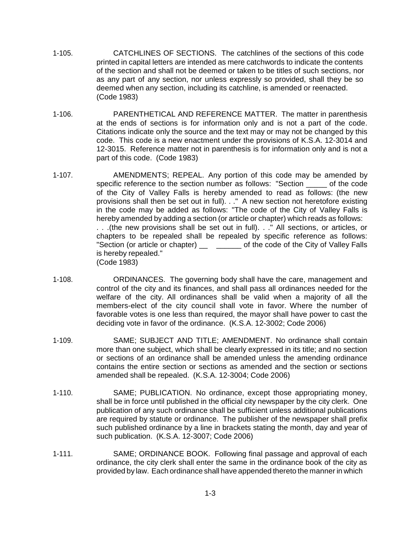- 1-105. CATCHLINES OF SECTIONS. The catchlines of the sections of this code printed in capital letters are intended as mere catchwords to indicate the contents of the section and shall not be deemed or taken to be titles of such sections, nor as any part of any section, nor unless expressly so provided, shall they be so deemed when any section, including its catchline, is amended or reenacted. (Code 1983)
- 1-106. PARENTHETICAL AND REFERENCE MATTER. The matter in parenthesis at the ends of sections is for information only and is not a part of the code. Citations indicate only the source and the text may or may not be changed by this code. This code is a new enactment under the provisions of K.S.A. 12-3014 and 12-3015. Reference matter not in parenthesis is for information only and is not a part of this code. (Code 1983)
- 1-107. AMENDMENTS; REPEAL. Any portion of this code may be amended by specific reference to the section number as follows: "Section \_\_\_\_\_ of the code of the City of Valley Falls is hereby amended to read as follows: (the new provisions shall then be set out in full). . ." A new section not heretofore existing in the code may be added as follows: "The code of the City of Valley Falls is hereby amended by adding a section (or article or chapter) which reads as follows: . . .(the new provisions shall be set out in full). . ." All sections, or articles, or chapters to be repealed shall be repealed by specific reference as follows: "Section (or article or chapter) \_\_\_\_\_\_\_\_\_\_ of the code of the City of Valley Falls is hereby repealed." (Code 1983)
- 1-108. ORDINANCES. The governing body shall have the care, management and control of the city and its finances, and shall pass all ordinances needed for the welfare of the city. All ordinances shall be valid when a majority of all the members-elect of the city council shall vote in favor. Where the number of favorable votes is one less than required, the mayor shall have power to cast the deciding vote in favor of the ordinance. (K.S.A. 12-3002; Code 2006)
- 1-109. SAME; SUBJECT AND TITLE; AMENDMENT. No ordinance shall contain more than one subject, which shall be clearly expressed in its title; and no section or sections of an ordinance shall be amended unless the amending ordinance contains the entire section or sections as amended and the section or sections amended shall be repealed. (K.S.A. 12-3004; Code 2006)
- 1-110. SAME; PUBLICATION. No ordinance, except those appropriating money, shall be in force until published in the official city newspaper by the city clerk. One publication of any such ordinance shall be sufficient unless additional publications are required by statute or ordinance. The publisher of the newspaper shall prefix such published ordinance by a line in brackets stating the month, day and year of such publication. (K.S.A. 12-3007; Code 2006)
- 1-111. SAME; ORDINANCE BOOK. Following final passage and approval of each ordinance, the city clerk shall enter the same in the ordinance book of the city as provided by law. Each ordinance shall have appended thereto the manner in which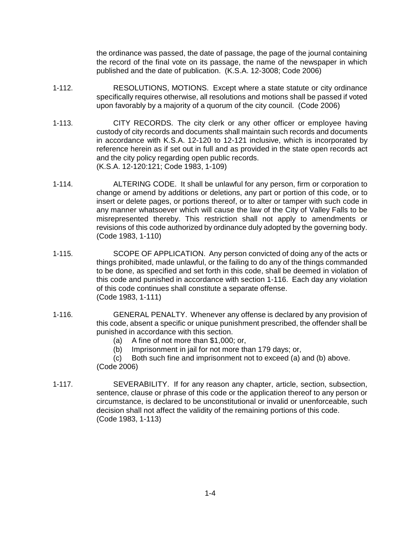the ordinance was passed, the date of passage, the page of the journal containing the record of the final vote on its passage, the name of the newspaper in which published and the date of publication. (K.S.A. 12-3008; Code 2006)

- 1-112. RESOLUTIONS, MOTIONS. Except where a state statute or city ordinance specifically requires otherwise, all resolutions and motions shall be passed if voted upon favorably by a majority of a quorum of the city council. (Code 2006)
- 1-113. CITY RECORDS. The city clerk or any other officer or employee having custody of city records and documents shall maintain such records and documents in accordance with K.S.A. 12-120 to 12-121 inclusive, which is incorporated by reference herein as if set out in full and as provided in the state open records act and the city policy regarding open public records. (K.S.A. 12-120:121; Code 1983, 1-109)
- 1-114. ALTERING CODE. It shall be unlawful for any person, firm or corporation to change or amend by additions or deletions, any part or portion of this code, or to insert or delete pages, or portions thereof, or to alter or tamper with such code in any manner whatsoever which will cause the law of the City of Valley Falls to be misrepresented thereby. This restriction shall not apply to amendments or revisions of this code authorized by ordinance duly adopted by the governing body. (Code 1983, 1-110)
- 1-115. SCOPE OF APPLICATION. Any person convicted of doing any of the acts or things prohibited, made unlawful, or the failing to do any of the things commanded to be done, as specified and set forth in this code, shall be deemed in violation of this code and punished in accordance with section 1-116. Each day any violation of this code continues shall constitute a separate offense. (Code 1983, 1-111)
- 1-116. GENERAL PENALTY. Whenever any offense is declared by any provision of this code, absent a specific or unique punishment prescribed, the offender shall be punished in accordance with this section.
	- (a) A fine of not more than \$1,000; or,
	- (b) Imprisonment in jail for not more than 179 days; or,
	- (c) Both such fine and imprisonment not to exceed (a) and (b) above. (Code 2006)
- 1-117. SEVERABILITY. If for any reason any chapter, article, section, subsection, sentence, clause or phrase of this code or the application thereof to any person or circumstance, is declared to be unconstitutional or invalid or unenforceable, such decision shall not affect the validity of the remaining portions of this code. (Code 1983, 1-113)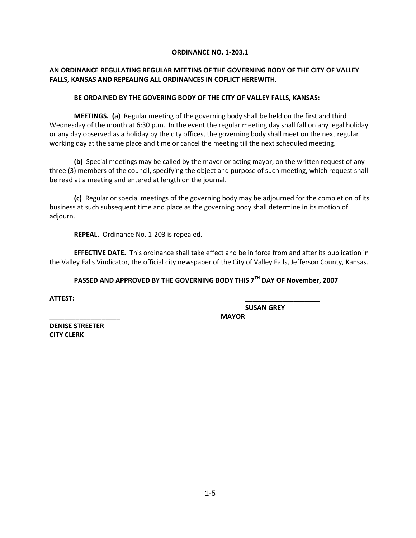#### **ORDINANCE NO. 1-203.1**

#### **AN ORDINANCE REGULATING REGULAR MEETINS OF THE GOVERNING BODY OF THE CITY OF VALLEY FALLS, KANSAS AND REPEALING ALL ORDINANCES IN COFLICT HEREWITH.**

#### **BE ORDAINED BY THE GOVERING BODY OF THE CITY OF VALLEY FALLS, KANSAS:**

**MEETINGS. (a)** Regular meeting of the governing body shall be held on the first and third Wednesday of the month at 6:30 p.m. In the event the regular meeting day shall fall on any legal holiday or any day observed as a holiday by the city offices, the governing body shall meet on the next regular working day at the same place and time or cancel the meeting till the next scheduled meeting.

**(b)** Special meetings may be called by the mayor or acting mayor, on the written request of any three (3) members of the council, specifying the object and purpose of such meeting, which request shall be read at a meeting and entered at length on the journal.

**(c)** Regular or special meetings of the governing body may be adjourned for the completion of its business at such subsequent time and place as the governing body shall determine in its motion of adjourn.

**REPEAL.** Ordinance No. 1-203 is repealed.

**EFFECTIVE DATE.** This ordinance shall take effect and be in force from and after its publication in the Valley Falls Vindicator, the official city newspaper of the City of Valley Falls, Jefferson County, Kansas.

## **PASSED AND APPROVED BY THE GOVERNING BODY THIS 7TH DAY OF November, 2007**

**ATTEST: \_\_\_\_\_\_\_\_\_\_\_\_\_\_\_\_\_\_\_\_**

**SUSAN GREY**

**\_\_\_\_\_\_\_\_\_\_\_\_\_\_\_\_\_\_\_ MAYOR DENISE STREETER CITY CLERK**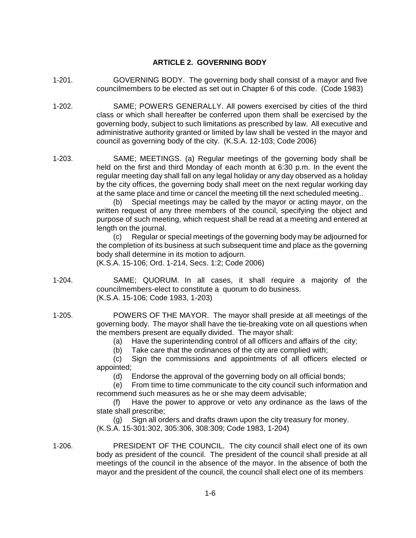#### **ARTICLE 2. GOVERNING BODY**

- 1-201. GOVERNING BODY. The governing body shall consist of a mayor and five councilmembers to be elected as set out in Chapter 6 of this code. (Code 1983)
- 1-202. SAME; POWERS GENERALLY. All powers exercised by cities of the third class or which shall hereafter be conferred upon them shall be exercised by the governing body, subject to such limitations as prescribed by law. All executive and administrative authority granted or limited by law shall be vested in the mayor and council as governing body of the city. (K.S.A. 12-103; Code 2006)
- 1-203. SAME; MEETINGS. (a) Regular meetings of the governing body shall be held on the first and third Monday of each month at 6:30 p.m. In the event the regular meeting day shall fall on any legal holiday or any day observed as a holiday by the city offices, the governing body shall meet on the next regular working day at the same place and time or cancel the meeting till the next scheduled meeting..

(b) Special meetings may be called by the mayor or acting mayor, on the written request of any three members of the council, specifying the object and purpose of such meeting, which request shall be read at a meeting and entered at length on the journal.

(c) Regular or special meetings of the governing body may be adjourned for the completion of its business at such subsequent time and place as the governing body shall determine in its motion to adjourn.

(K.S.A. 15-106; Ord. 1-214, Secs. 1:2; Code 2006)

- 1-204. SAME; QUORUM. In all cases, it shall require a majority of the councilmembers-elect to constitute a quorum to do business. (K.S.A. 15-106; Code 1983, 1-203)
- 1-205. POWERS OF THE MAYOR. The mayor shall preside at all meetings of the governing body. The mayor shall have the tie-breaking vote on all questions when the members present are equally divided. The mayor shall:

(a) Have the superintending control of all officers and affairs of the city;

(b) Take care that the ordinances of the city are complied with;

(c) Sign the commissions and appointments of all officers elected or appointed;

(d) Endorse the approval of the governing body on all official bonds;

(e) From time to time communicate to the city council such information and recommend such measures as he or she may deem advisable;

(f) Have the power to approve or veto any ordinance as the laws of the state shall prescribe;

(g) Sign all orders and drafts drawn upon the city treasury for money. (K.S.A. 15-301:302, 305:306, 308:309; Code 1983, 1-204)

1-206. PRESIDENT OF THE COUNCIL. The city council shall elect one of its own body as president of the council. The president of the council shall preside at all meetings of the council in the absence of the mayor. In the absence of both the mayor and the president of the council, the council shall elect one of its members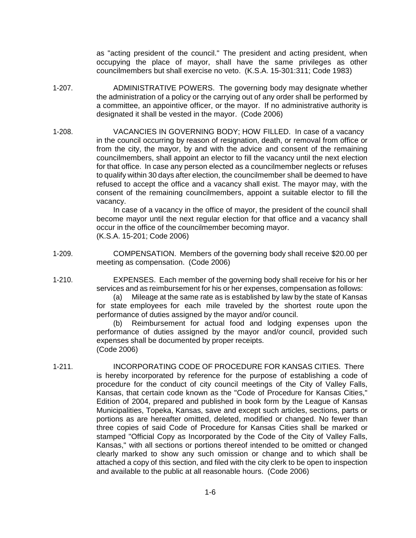as "acting president of the council." The president and acting president, when occupying the place of mayor, shall have the same privileges as other councilmembers but shall exercise no veto. (K.S.A. 15-301:311; Code 1983)

- 1-207. ADMINISTRATIVE POWERS. The governing body may designate whether the administration of a policy or the carrying out of any order shall be performed by a committee, an appointive officer, or the mayor. If no administrative authority is designated it shall be vested in the mayor. (Code 2006)
- 1-208. VACANCIES IN GOVERNING BODY; HOW FILLED. In case of a vacancy in the council occurring by reason of resignation, death, or removal from office or from the city, the mayor, by and with the advice and consent of the remaining councilmembers, shall appoint an elector to fill the vacancy until the next election for that office. In case any person elected as a councilmember neglects or refuses to qualify within 30 days after election, the councilmember shall be deemed to have refused to accept the office and a vacancy shall exist. The mayor may, with the consent of the remaining councilmembers, appoint a suitable elector to fill the vacancy.

In case of a vacancy in the office of mayor, the president of the council shall become mayor until the next regular election for that office and a vacancy shall occur in the office of the councilmember becoming mayor. (K.S.A. 15-201; Code 2006)

- 1-209. COMPENSATION. Members of the governing body shall receive \$20.00 per meeting as compensation. (Code 2006)
- 1-210. EXPENSES. Each member of the governing body shall receive for his or her services and as reimbursement for his or her expenses, compensation as follows:

(a) Mileage at the same rate as is established by law by the state of Kansas for state employees for each mile traveled by the shortest route upon the performance of duties assigned by the mayor and/or council.

(b) Reimbursement for actual food and lodging expenses upon the performance of duties assigned by the mayor and/or council, provided such expenses shall be documented by proper receipts. (Code 2006)

1-211. INCORPORATING CODE OF PROCEDURE FOR KANSAS CITIES. There is hereby incorporated by reference for the purpose of establishing a code of procedure for the conduct of city council meetings of the City of Valley Falls, Kansas, that certain code known as the "Code of Procedure for Kansas Cities," Edition of 2004, prepared and published in book form by the League of Kansas Municipalities, Topeka, Kansas, save and except such articles, sections, parts or portions as are hereafter omitted, deleted, modified or changed. No fewer than three copies of said Code of Procedure for Kansas Cities shall be marked or stamped "Official Copy as Incorporated by the Code of the City of Valley Falls, Kansas," with all sections or portions thereof intended to be omitted or changed clearly marked to show any such omission or change and to which shall be attached a copy of this section, and filed with the city clerk to be open to inspection and available to the public at all reasonable hours. (Code 2006)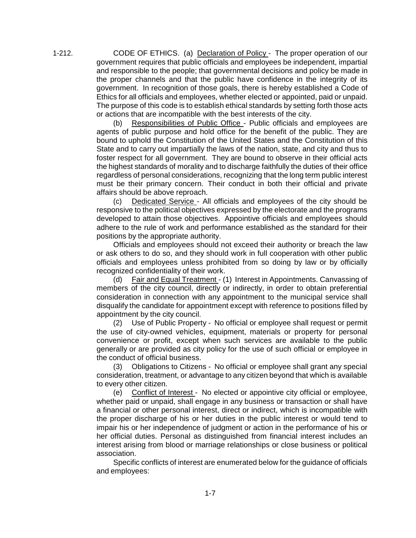1-212. CODE OF ETHICS. (a) Declaration of Policy - The proper operation of our government requires that public officials and employees be independent, impartial and responsible to the people; that governmental decisions and policy be made in the proper channels and that the public have confidence in the integrity of its government. In recognition of those goals, there is hereby established a Code of Ethics for all officials and employees, whether elected or appointed, paid or unpaid. The purpose of this code is to establish ethical standards by setting forth those acts or actions that are incompatible with the best interests of the city.

> (b) Responsibilities of Public Office - Public officials and employees are agents of public purpose and hold office for the benefit of the public. They are bound to uphold the Constitution of the United States and the Constitution of this State and to carry out impartially the laws of the nation, state, and city and thus to foster respect for all government. They are bound to observe in their official acts the highest standards of morality and to discharge faithfully the duties of their office regardless of personal considerations, recognizing that the long term public interest must be their primary concern. Their conduct in both their official and private affairs should be above reproach.

> (c) Dedicated Service - All officials and employees of the city should be responsive to the political objectives expressed by the electorate and the programs developed to attain those objectives. Appointive officials and employees should adhere to the rule of work and performance established as the standard for their positions by the appropriate authority.

> Officials and employees should not exceed their authority or breach the law or ask others to do so, and they should work in full cooperation with other public officials and employees unless prohibited from so doing by law or by officially recognized confidentiality of their work.

> (d) Fair and Equal Treatment - (1) Interest in Appointments. Canvassing of members of the city council, directly or indirectly, in order to obtain preferential consideration in connection with any appointment to the municipal service shall disqualify the candidate for appointment except with reference to positions filled by appointment by the city council.

> (2) Use of Public Property - No official or employee shall request or permit the use of city-owned vehicles, equipment, materials or property for personal convenience or profit, except when such services are available to the public generally or are provided as city policy for the use of such official or employee in the conduct of official business.

> (3) Obligations to Citizens - No official or employee shall grant any special consideration, treatment, or advantage to any citizen beyond that which is available to every other citizen.

> (e) Conflict of Interest - No elected or appointive city official or employee, whether paid or unpaid, shall engage in any business or transaction or shall have a financial or other personal interest, direct or indirect, which is incompatible with the proper discharge of his or her duties in the public interest or would tend to impair his or her independence of judgment or action in the performance of his or her official duties. Personal as distinguished from financial interest includes an interest arising from blood or marriage relationships or close business or political association.

> Specific conflicts of interest are enumerated below for the guidance of officials and employees:

> > 1-7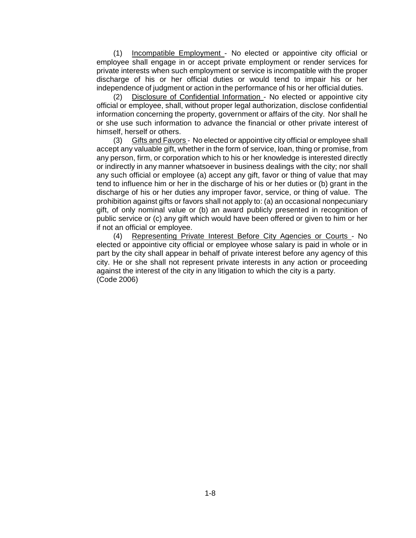(1) Incompatible Employment - No elected or appointive city official or employee shall engage in or accept private employment or render services for private interests when such employment or service is incompatible with the proper discharge of his or her official duties or would tend to impair his or her independence of judgment or action in the performance of his or her official duties.

(2) Disclosure of Confidential Information - No elected or appointive city official or employee, shall, without proper legal authorization, disclose confidential information concerning the property, government or affairs of the city. Nor shall he or she use such information to advance the financial or other private interest of himself, herself or others.

(3) Gifts and Favors - No elected or appointive city official or employee shall accept any valuable gift, whether in the form of service, loan, thing or promise, from any person, firm, or corporation which to his or her knowledge is interested directly or indirectly in any manner whatsoever in business dealings with the city; nor shall any such official or employee (a) accept any gift, favor or thing of value that may tend to influence him or her in the discharge of his or her duties or (b) grant in the discharge of his or her duties any improper favor, service, or thing of value. The prohibition against gifts or favors shall not apply to: (a) an occasional nonpecuniary gift, of only nominal value or (b) an award publicly presented in recognition of public service or (c) any gift which would have been offered or given to him or her if not an official or employee.

(4) Representing Private Interest Before City Agencies or Courts - No elected or appointive city official or employee whose salary is paid in whole or in part by the city shall appear in behalf of private interest before any agency of this city. He or she shall not represent private interests in any action or proceeding against the interest of the city in any litigation to which the city is a party. (Code 2006)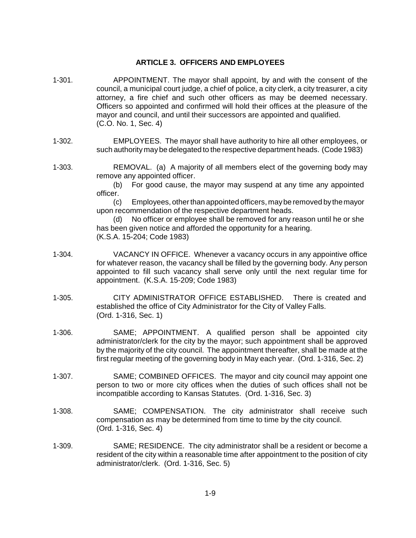#### **ARTICLE 3. OFFICERS AND EMPLOYEES**

- 1-301. APPOINTMENT. The mayor shall appoint, by and with the consent of the council, a municipal court judge, a chief of police, a city clerk, a city treasurer, a city attorney, a fire chief and such other officers as may be deemed necessary. Officers so appointed and confirmed will hold their offices at the pleasure of the mayor and council, and until their successors are appointed and qualified. (C.O. No. 1, Sec. 4)
- 1-302. EMPLOYEES. The mayor shall have authority to hire all other employees, or such authority may be delegated to the respective department heads. (Code 1983)
- 1-303. REMOVAL. (a) A majority of all members elect of the governing body may remove any appointed officer.

(b) For good cause, the mayor may suspend at any time any appointed officer.

(c) Employees, otherthan appointed officers, maybe removed bythemayor upon recommendation of the respective department heads.

(d) No officer or employee shall be removed for any reason until he or she has been given notice and afforded the opportunity for a hearing. (K.S.A. 15-204; Code 1983)

- 1-304. VACANCY IN OFFICE. Whenever a vacancy occurs in any appointive office for whatever reason, the vacancy shall be filled by the governing body. Any person appointed to fill such vacancy shall serve only until the next regular time for appointment. (K.S.A. 15-209; Code 1983)
- 1-305. CITY ADMINISTRATOR OFFICE ESTABLISHED. There is created and established the office of City Administrator for the City of Valley Falls. (Ord. 1-316, Sec. 1)
- 1-306. SAME; APPOINTMENT. A qualified person shall be appointed city administrator/clerk for the city by the mayor; such appointment shall be approved by the majority of the city council. The appointment thereafter, shall be made at the first regular meeting of the governing body in May each year. (Ord. 1-316, Sec. 2)
- 1-307. SAME; COMBINED OFFICES. The mayor and city council may appoint one person to two or more city offices when the duties of such offices shall not be incompatible according to Kansas Statutes. (Ord. 1-316, Sec. 3)
- 1-308. SAME; COMPENSATION. The city administrator shall receive such compensation as may be determined from time to time by the city council. (Ord. 1-316, Sec. 4)
- 1-309. SAME; RESIDENCE. The city administrator shall be a resident or become a resident of the city within a reasonable time after appointment to the position of city administrator/clerk. (Ord. 1-316, Sec. 5)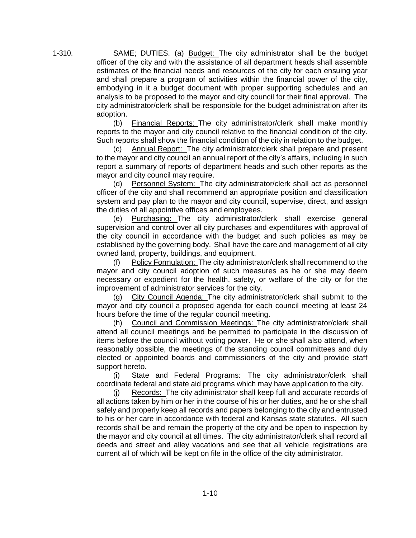1-310. SAME; DUTIES. (a) Budget: The city administrator shall be the budget officer of the city and with the assistance of all department heads shall assemble estimates of the financial needs and resources of the city for each ensuing year and shall prepare a program of activities within the financial power of the city, embodying in it a budget document with proper supporting schedules and an analysis to be proposed to the mayor and city council for their final approval. The city administrator/clerk shall be responsible for the budget administration after its adoption.

(b) Financial Reports: The city administrator/clerk shall make monthly reports to the mayor and city council relative to the financial condition of the city. Such reports shall show the financial condition of the city in relation to the budget.

(c) Annual Report: The city administrator/clerk shall prepare and present to the mayor and city council an annual report of the city's affairs, including in such report a summary of reports of department heads and such other reports as the mayor and city council may require.

(d) Personnel System: The city administrator/clerk shall act as personnel officer of the city and shall recommend an appropriate position and classification system and pay plan to the mayor and city council, supervise, direct, and assign the duties of all appointive offices and employees.

(e) Purchasing: The city administrator/clerk shall exercise general supervision and control over all city purchases and expenditures with approval of the city council in accordance with the budget and such policies as may be established by the governing body. Shall have the care and management of all city owned land, property, buildings, and equipment.

(f) Policy Formulation: The city administrator/clerk shall recommend to the mayor and city council adoption of such measures as he or she may deem necessary or expedient for the health, safety, or welfare of the city or for the improvement of administrator services for the city.

City Council Agenda: The city administrator/clerk shall submit to the mayor and city council a proposed agenda for each council meeting at least 24 hours before the time of the regular council meeting.

(h) Council and Commission Meetings: The city administrator/clerk shall attend all council meetings and be permitted to participate in the discussion of items before the council without voting power. He or she shall also attend, when reasonably possible, the meetings of the standing council committees and duly elected or appointed boards and commissioners of the city and provide staff support hereto.

(i) State and Federal Programs: The city administrator/clerk shall coordinate federal and state aid programs which may have application to the city.

(j) Records: The city administrator shall keep full and accurate records of all actions taken by him or her in the course of his or her duties, and he or she shall safely and properly keep all records and papers belonging to the city and entrusted to his or her care in accordance with federal and Kansas state statutes. All such records shall be and remain the property of the city and be open to inspection by the mayor and city council at all times. The city administrator/clerk shall record all deeds and street and alley vacations and see that all vehicle registrations are current all of which will be kept on file in the office of the city administrator.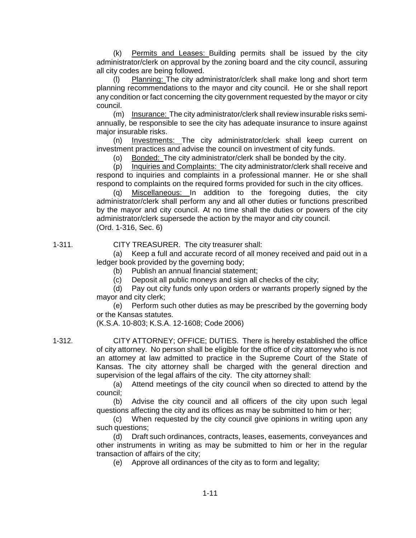(k) Permits and Leases: Building permits shall be issued by the city administrator/clerk on approval by the zoning board and the city council, assuring all city codes are being followed.

(l) Planning: The city administrator/clerk shall make long and short term planning recommendations to the mayor and city council. He or she shall report any condition or fact concerning the city government requested by the mayor or city council.

(m) Insurance: The city administrator/clerk shall review insurable risks semiannually, be responsible to see the city has adequate insurance to insure against major insurable risks.

(n) Investments: The city administrator/clerk shall keep current on investment practices and advise the council on investment of city funds.

(o) Bonded: The city administrator/clerk shall be bonded by the city.

(p) Inquiries and Complaints: The city administrator/clerk shall receive and respond to inquiries and complaints in a professional manner. He or she shall respond to complaints on the required forms provided for such in the city offices.

(q) Miscellaneous: In addition to the foregoing duties, the city administrator/clerk shall perform any and all other duties or functions prescribed by the mayor and city council. At no time shall the duties or powers of the city administrator/clerk supersede the action by the mayor and city council. (Ord. 1-316, Sec. 6)

1-311. CITY TREASURER. The city treasurer shall:

(a) Keep a full and accurate record of all money received and paid out in a ledger book provided by the governing body;

(b) Publish an annual financial statement;

(c) Deposit all public moneys and sign all checks of the city;

(d) Pay out city funds only upon orders or warrants properly signed by the mayor and city clerk;

(e) Perform such other duties as may be prescribed by the governing body or the Kansas statutes.

(K.S.A. 10-803; K.S.A. 12-1608; Code 2006)

1-312. CITY ATTORNEY; OFFICE; DUTIES. There is hereby established the office of city attorney. No person shall be eligible for the office of city attorney who is not an attorney at law admitted to practice in the Supreme Court of the State of Kansas. The city attorney shall be charged with the general direction and supervision of the legal affairs of the city. The city attorney shall:

> (a) Attend meetings of the city council when so directed to attend by the council;

> (b) Advise the city council and all officers of the city upon such legal questions affecting the city and its offices as may be submitted to him or her;

> (c) When requested by the city council give opinions in writing upon any such questions;

> (d) Draft such ordinances, contracts, leases, easements, conveyances and other instruments in writing as may be submitted to him or her in the regular transaction of affairs of the city;

(e) Approve all ordinances of the city as to form and legality;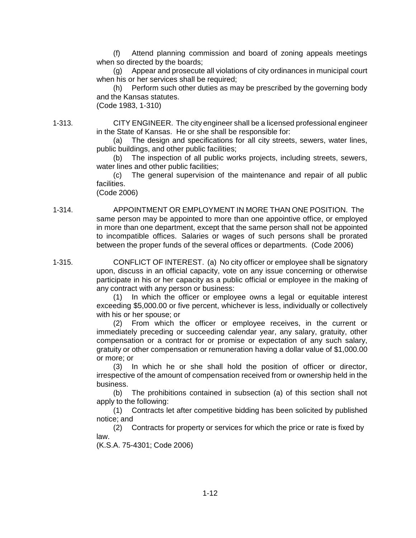(f) Attend planning commission and board of zoning appeals meetings when so directed by the boards;

(g) Appear and prosecute all violations of city ordinances in municipal court when his or her services shall be required;

(h) Perform such other duties as may be prescribed by the governing body and the Kansas statutes.

(Code 1983, 1-310)

1-313. CITY ENGINEER. The city engineer shall be a licensed professional engineer in the State of Kansas. He or she shall be responsible for:

(a) The design and specifications for all city streets, sewers, water lines, public buildings, and other public facilities;

(b) The inspection of all public works projects, including streets, sewers, water lines and other public facilities;

(c) The general supervision of the maintenance and repair of all public facilities.

(Code 2006)

1-314. APPOINTMENT OR EMPLOYMENT IN MORE THAN ONE POSITION. The same person may be appointed to more than one appointive office, or employed in more than one department, except that the same person shall not be appointed to incompatible offices. Salaries or wages of such persons shall be prorated between the proper funds of the several offices or departments. (Code 2006)

1-315. CONFLICT OF INTEREST. (a) No city officer or employee shall be signatory upon, discuss in an official capacity, vote on any issue concerning or otherwise participate in his or her capacity as a public official or employee in the making of any contract with any person or business:

> (1) In which the officer or employee owns a legal or equitable interest exceeding \$5,000.00 or five percent, whichever is less, individually or collectively with his or her spouse; or

> (2) From which the officer or employee receives, in the current or immediately preceding or succeeding calendar year, any salary, gratuity, other compensation or a contract for or promise or expectation of any such salary, gratuity or other compensation or remuneration having a dollar value of \$1,000.00 or more; or

> (3) In which he or she shall hold the position of officer or director, irrespective of the amount of compensation received from or ownership held in the business.

> (b) The prohibitions contained in subsection (a) of this section shall not apply to the following:

> (1) Contracts let after competitive bidding has been solicited by published notice; and

> (2) Contracts for property or services for which the price or rate is fixed by law.

(K.S.A. 75-4301; Code 2006)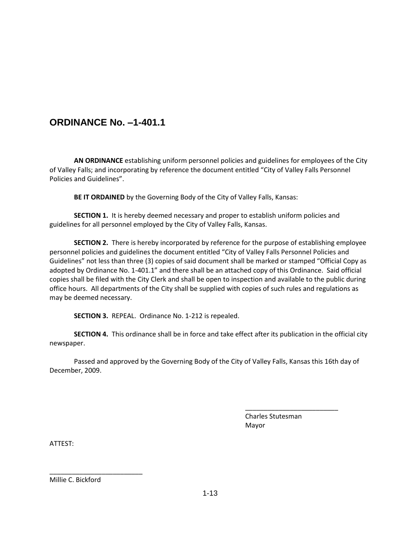# **ORDINANCE No. –1-401.1**

**AN ORDINANCE** establishing uniform personnel policies and guidelines for employees of the City of Valley Falls; and incorporating by reference the document entitled "City of Valley Falls Personnel Policies and Guidelines".

**BE IT ORDAINED** by the Governing Body of the City of Valley Falls, Kansas:

**SECTION 1.** It is hereby deemed necessary and proper to establish uniform policies and guidelines for all personnel employed by the City of Valley Falls, Kansas.

**SECTION 2.** There is hereby incorporated by reference for the purpose of establishing employee personnel policies and guidelines the document entitled "City of Valley Falls Personnel Policies and Guidelines" not less than three (3) copies of said document shall be marked or stamped "Official Copy as adopted by Ordinance No. 1-401.1" and there shall be an attached copy of this Ordinance. Said official copies shall be filed with the City Clerk and shall be open to inspection and available to the public during office hours. All departments of the City shall be supplied with copies of such rules and regulations as may be deemed necessary.

**SECTION 3.** REPEAL. Ordinance No. 1-212 is repealed.

**SECTION 4.** This ordinance shall be in force and take effect after its publication in the official city newspaper.

Passed and approved by the Governing Body of the City of Valley Falls, Kansas this 16th day of December, 2009.

> Charles Stutesman Mayor

\_\_\_\_\_\_\_\_\_\_\_\_\_\_\_\_\_\_\_\_\_\_\_\_\_

ATTEST:

Millie C. Bickford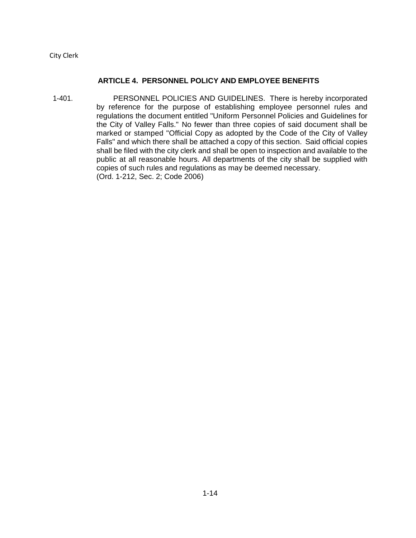City Clerk

#### **ARTICLE 4. PERSONNEL POLICY AND EMPLOYEE BENEFITS**

1-401. PERSONNEL POLICIES AND GUIDELINES. There is hereby incorporated by reference for the purpose of establishing employee personnel rules and regulations the document entitled "Uniform Personnel Policies and Guidelines for the City of Valley Falls." No fewer than three copies of said document shall be marked or stamped "Official Copy as adopted by the Code of the City of Valley Falls" and which there shall be attached a copy of this section. Said official copies shall be filed with the city clerk and shall be open to inspection and available to the public at all reasonable hours. All departments of the city shall be supplied with copies of such rules and regulations as may be deemed necessary. (Ord. 1-212, Sec. 2; Code 2006)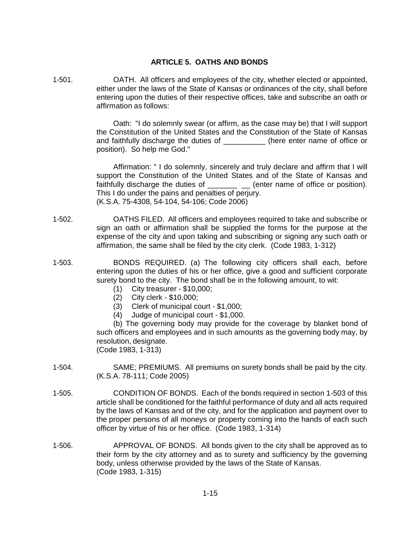## **ARTICLE 5. OATHS AND BONDS**

1-501. OATH. All officers and employees of the city, whether elected or appointed, either under the laws of the State of Kansas or ordinances of the city, shall before entering upon the duties of their respective offices, take and subscribe an oath or affirmation as follows:

> Oath: "I do solemnly swear (or affirm, as the case may be) that I will support the Constitution of the United States and the Constitution of the State of Kansas and faithfully discharge the duties of  $\qquad \qquad$  (here enter name of office or position). So help me God."

> Affirmation: " I do solemnly, sincerely and truly declare and affirm that I will support the Constitution of the United States and of the State of Kansas and faithfully discharge the duties of \_\_\_\_\_\_\_ \_ (enter name of office or position). This I do under the pains and penalties of perjury. (K.S.A. 75-4308, 54-104, 54-106; Code 2006)

- 1-502. OATHS FILED. All officers and employees required to take and subscribe or sign an oath or affirmation shall be supplied the forms for the purpose at the expense of the city and upon taking and subscribing or signing any such oath or affirmation, the same shall be filed by the city clerk. (Code 1983, 1-312)
- 1-503. BONDS REQUIRED. (a) The following city officers shall each, before entering upon the duties of his or her office, give a good and sufficient corporate surety bond to the city. The bond shall be in the following amount, to wit:
	- (1) City treasurer \$10,000;
	- (2) City clerk \$10,000;
	- (3) Clerk of municipal court \$1,000;
	- (4) Judge of municipal court \$1,000.

(b) The governing body may provide for the coverage by blanket bond of such officers and employees and in such amounts as the governing body may, by resolution, designate.

(Code 1983, 1-313)

- 1-504. SAME; PREMIUMS. All premiums on surety bonds shall be paid by the city. (K.S.A. 78-111; Code 2005)
- 1-505. CONDITION OF BONDS. Each of the bonds required in section 1-503 of this article shall be conditioned for the faithful performance of duty and all acts required by the laws of Kansas and of the city, and for the application and payment over to the proper persons of all moneys or property coming into the hands of each such officer by virtue of his or her office. (Code 1983, 1-314)
- 1-506. APPROVAL OF BONDS. All bonds given to the city shall be approved as to their form by the city attorney and as to surety and sufficiency by the governing body, unless otherwise provided by the laws of the State of Kansas. (Code 1983, 1-315)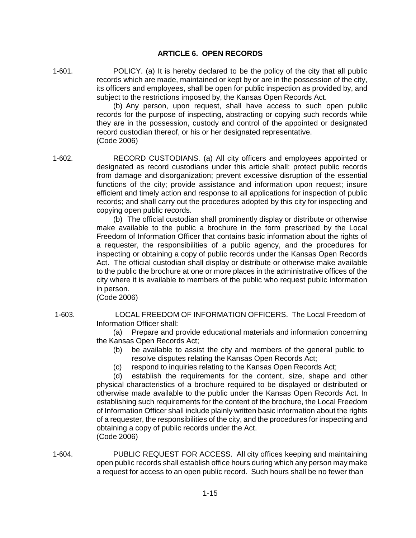## **ARTICLE 6. OPEN RECORDS**

1-601. POLICY. (a) It is hereby declared to be the policy of the city that all public records which are made, maintained or kept by or are in the possession of the city, its officers and employees, shall be open for public inspection as provided by, and subject to the restrictions imposed by, the Kansas Open Records Act.

(b) Any person, upon request, shall have access to such open public records for the purpose of inspecting, abstracting or copying such records while they are in the possession, custody and control of the appointed or designated record custodian thereof, or his or her designated representative. (Code 2006)

1-602. RECORD CUSTODIANS. (a) All city officers and employees appointed or designated as record custodians under this article shall: protect public records from damage and disorganization; prevent excessive disruption of the essential functions of the city; provide assistance and information upon request; insure efficient and timely action and response to all applications for inspection of public records; and shall carry out the procedures adopted by this city for inspecting and copying open public records.

> (b) The official custodian shall prominently display or distribute or otherwise make available to the public a brochure in the form prescribed by the Local Freedom of Information Officer that contains basic information about the rights of a requester, the responsibilities of a public agency, and the procedures for inspecting or obtaining a copy of public records under the Kansas Open Records Act. The official custodian shall display or distribute or otherwise make available to the public the brochure at one or more places in the administrative offices of the city where it is available to members of the public who request public information in person.

(Code 2006)

1-603. LOCAL FREEDOM OF INFORMATION OFFICERS. The Local Freedom of Information Officer shall:

> (a) Prepare and provide educational materials and information concerning the Kansas Open Records Act;

- (b) be available to assist the city and members of the general public to resolve disputes relating the Kansas Open Records Act;
- (c) respond to inquiries relating to the Kansas Open Records Act;

(d) establish the requirements for the content, size, shape and other physical characteristics of a brochure required to be displayed or distributed or otherwise made available to the public under the Kansas Open Records Act. In establishing such requirements for the content of the brochure, the Local Freedom of Information Officer shall include plainly written basic information about the rights of a requester, the responsibilities of the city, and the procedures for inspecting and obtaining a copy of public records under the Act. (Code 2006)

1-604. PUBLIC REQUEST FOR ACCESS. All city offices keeping and maintaining open public records shall establish office hours during which any person may make a request for access to an open public record. Such hours shall be no fewer than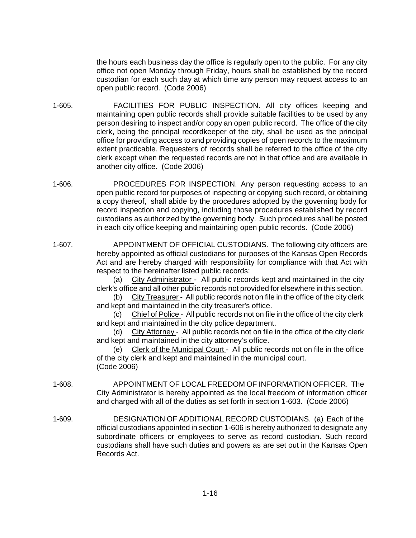the hours each business day the office is regularly open to the public. For any city office not open Monday through Friday, hours shall be established by the record custodian for each such day at which time any person may request access to an open public record. (Code 2006)

- 1-605. FACILITIES FOR PUBLIC INSPECTION. All city offices keeping and maintaining open public records shall provide suitable facilities to be used by any person desiring to inspect and/or copy an open public record. The office of the city clerk, being the principal recordkeeper of the city, shall be used as the principal office for providing access to and providing copies of open records to the maximum extent practicable. Requesters of records shall be referred to the office of the city clerk except when the requested records are not in that office and are available in another city office. (Code 2006)
- 1-606. PROCEDURES FOR INSPECTION. Any person requesting access to an open public record for purposes of inspecting or copying such record, or obtaining a copy thereof, shall abide by the procedures adopted by the governing body for record inspection and copying, including those procedures established by record custodians as authorized by the governing body. Such procedures shall be posted in each city office keeping and maintaining open public records. (Code 2006)
- 1-607. APPOINTMENT OF OFFICIAL CUSTODIANS. The following city officers are hereby appointed as official custodians for purposes of the Kansas Open Records Act and are hereby charged with responsibility for compliance with that Act with respect to the hereinafter listed public records:

(a) City Administrator - All public records kept and maintained in the city clerk's office and all other public records not provided for elsewhere in this section.

(b) City Treasurer - All public records not on file in the office of the city clerk and kept and maintained in the city treasurer's office.

(c) Chief of Police - All public records not on file in the office of the city clerk and kept and maintained in the city police department.

(d) City Attorney - All public records not on file in the office of the city clerk and kept and maintained in the city attorney's office.

(e) Clerk of the Municipal Court - All public records not on file in the office of the city clerk and kept and maintained in the municipal court. (Code 2006)

- 1-608. APPOINTMENT OF LOCAL FREEDOM OF INFORMATION OFFICER. The City Administrator is hereby appointed as the local freedom of information officer and charged with all of the duties as set forth in section 1-603. (Code 2006)
- 1-609. DESIGNATION OF ADDITIONAL RECORD CUSTODIANS. (a) Each of the official custodians appointed in section 1-606 is hereby authorized to designate any subordinate officers or employees to serve as record custodian. Such record custodians shall have such duties and powers as are set out in the Kansas Open Records Act.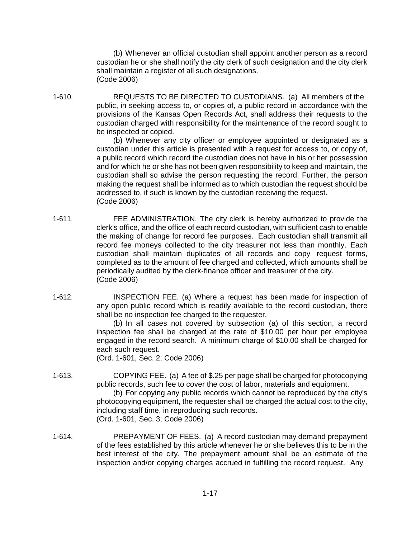(b) Whenever an official custodian shall appoint another person as a record custodian he or she shall notify the city clerk of such designation and the city clerk shall maintain a register of all such designations. (Code 2006)

1-610. REQUESTS TO BE DIRECTED TO CUSTODIANS. (a) All members of the public, in seeking access to, or copies of, a public record in accordance with the provisions of the Kansas Open Records Act, shall address their requests to the custodian charged with responsibility for the maintenance of the record sought to be inspected or copied.

(b) Whenever any city officer or employee appointed or designated as a custodian under this article is presented with a request for access to, or copy of, a public record which record the custodian does not have in his or her possession and for which he or she has not been given responsibility to keep and maintain, the custodian shall so advise the person requesting the record. Further, the person making the request shall be informed as to which custodian the request should be addressed to, if such is known by the custodian receiving the request. (Code 2006)

- 1-611. FEE ADMINISTRATION. The city clerk is hereby authorized to provide the clerk's office, and the office of each record custodian, with sufficient cash to enable the making of change for record fee purposes. Each custodian shall transmit all record fee moneys collected to the city treasurer not less than monthly. Each custodian shall maintain duplicates of all records and copy request forms, completed as to the amount of fee charged and collected, which amounts shall be periodically audited by the clerk-finance officer and treasurer of the city. (Code 2006)
- 1-612. INSPECTION FEE. (a) Where a request has been made for inspection of any open public record which is readily available to the record custodian, there shall be no inspection fee charged to the requester.

(b) In all cases not covered by subsection (a) of this section, a record inspection fee shall be charged at the rate of \$10.00 per hour per employee engaged in the record search. A minimum charge of \$10.00 shall be charged for each such request.

(Ord. 1-601, Sec. 2; Code 2006)

1-613. COPYING FEE. (a) A fee of \$.25 per page shall be charged for photocopying public records, such fee to cover the cost of labor, materials and equipment.

(b) For copying any public records which cannot be reproduced by the city's photocopying equipment, the requester shall be charged the actual cost to the city, including staff time, in reproducing such records. (Ord. 1-601, Sec. 3; Code 2006)

1-614. PREPAYMENT OF FEES. (a) A record custodian may demand prepayment of the fees established by this article whenever he or she believes this to be in the best interest of the city. The prepayment amount shall be an estimate of the inspection and/or copying charges accrued in fulfilling the record request. Any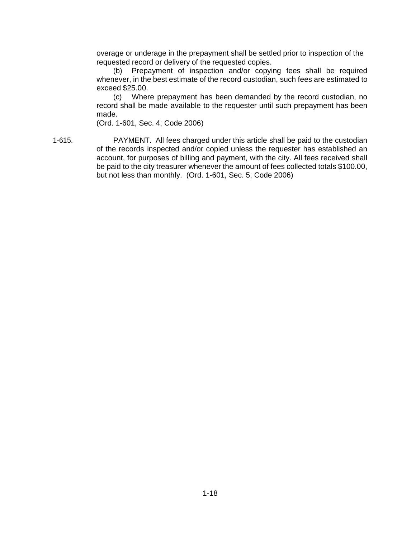overage or underage in the prepayment shall be settled prior to inspection of the requested record or delivery of the requested copies.

(b) Prepayment of inspection and/or copying fees shall be required whenever, in the best estimate of the record custodian, such fees are estimated to exceed \$25.00.

(c) Where prepayment has been demanded by the record custodian, no record shall be made available to the requester until such prepayment has been made.

(Ord. 1-601, Sec. 4; Code 2006)

1-615. PAYMENT. All fees charged under this article shall be paid to the custodian of the records inspected and/or copied unless the requester has established an account, for purposes of billing and payment, with the city. All fees received shall be paid to the city treasurer whenever the amount of fees collected totals \$100.00, but not less than monthly. (Ord. 1-601, Sec. 5; Code 2006)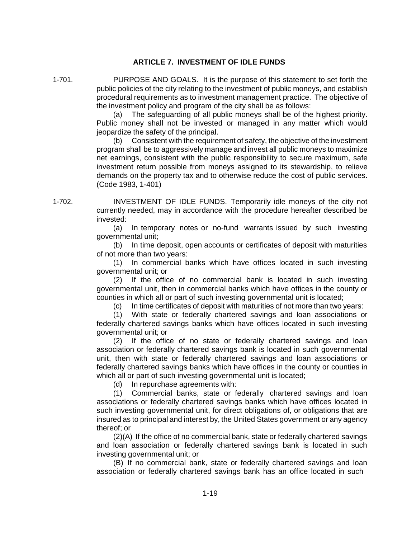#### **ARTICLE 7. INVESTMENT OF IDLE FUNDS**

1-701. PURPOSE AND GOALS. It is the purpose of this statement to set forth the public policies of the city relating to the investment of public moneys, and establish procedural requirements as to investment management practice. The objective of the investment policy and program of the city shall be as follows:

> (a) The safeguarding of all public moneys shall be of the highest priority. Public money shall not be invested or managed in any matter which would jeopardize the safety of the principal.

> (b) Consistent with the requirement of safety, the objective of the investment program shall be to aggressively manage and invest all public moneys to maximize net earnings, consistent with the public responsibility to secure maximum, safe investment return possible from moneys assigned to its stewardship, to relieve demands on the property tax and to otherwise reduce the cost of public services. (Code 1983, 1-401)

1-702. INVESTMENT OF IDLE FUNDS. Temporarily idle moneys of the city not currently needed, may in accordance with the procedure hereafter described be invested:

> (a) In temporary notes or no-fund warrants issued by such investing governmental unit;

> (b) In time deposit, open accounts or certificates of deposit with maturities of not more than two years:

> (1) In commercial banks which have offices located in such investing governmental unit; or

> (2) If the office of no commercial bank is located in such investing governmental unit, then in commercial banks which have offices in the county or counties in which all or part of such investing governmental unit is located;

(c) In time certificates of deposit with maturities of not more than two years:

(1) With state or federally chartered savings and loan associations or federally chartered savings banks which have offices located in such investing governmental unit; or

(2) If the office of no state or federally chartered savings and loan association or federally chartered savings bank is located in such governmental unit, then with state or federally chartered savings and loan associations or federally chartered savings banks which have offices in the county or counties in which all or part of such investing governmental unit is located;

(d) In repurchase agreements with:

(1) Commercial banks, state or federally chartered savings and loan associations or federally chartered savings banks which have offices located in such investing governmental unit, for direct obligations of, or obligations that are insured as to principal and interest by, the United States government or any agency thereof; or

(2)(A) If the office of no commercial bank, state or federally chartered savings and loan association or federally chartered savings bank is located in such investing governmental unit; or

(B) If no commercial bank, state or federally chartered savings and loan association or federally chartered savings bank has an office located in such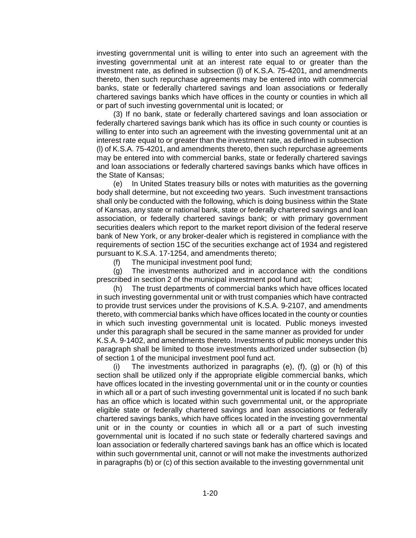investing governmental unit is willing to enter into such an agreement with the investing governmental unit at an interest rate equal to or greater than the investment rate, as defined in subsection (l) of K.S.A. 75-4201, and amendments thereto, then such repurchase agreements may be entered into with commercial banks, state or federally chartered savings and loan associations or federally chartered savings banks which have offices in the county or counties in which all or part of such investing governmental unit is located; or

(3) If no bank, state or federally chartered savings and loan association or federally chartered savings bank which has its office in such county or counties is willing to enter into such an agreement with the investing governmental unit at an interest rate equal to or greater than the investment rate, as defined in subsection (l) of K.S.A. 75-4201, and amendments thereto, then such repurchase agreements may be entered into with commercial banks, state or federally chartered savings and loan associations or federally chartered savings banks which have offices in the State of Kansas;

(e) In United States treasury bills or notes with maturities as the governing body shall determine, but not exceeding two years. Such investment transactions shall only be conducted with the following, which is doing business within the State of Kansas, any state or national bank, state or federally chartered savings and loan association, or federally chartered savings bank; or with primary government securities dealers which report to the market report division of the federal reserve bank of New York, or any broker-dealer which is registered in compliance with the requirements of section 15C of the securities exchange act of 1934 and registered pursuant to K.S.A. 17-1254, and amendments thereto;

(f) The municipal investment pool fund;

(g) The investments authorized and in accordance with the conditions prescribed in section 2 of the municipal investment pool fund act;

(h) The trust departments of commercial banks which have offices located in such investing governmental unit or with trust companies which have contracted to provide trust services under the provisions of K.S.A. 9-2107, and amendments thereto, with commercial banks which have offices located in the county or counties in which such investing governmental unit is located. Public moneys invested under this paragraph shall be secured in the same manner as provided for under K.S.A. 9-1402, and amendments thereto. Investments of public moneys under this paragraph shall be limited to those investments authorized under subsection (b) of section 1 of the municipal investment pool fund act.

(i) The investments authorized in paragraphs (e), (f), (g) or (h) of this section shall be utilized only if the appropriate eligible commercial banks, which have offices located in the investing governmental unit or in the county or counties in which all or a part of such investing governmental unit is located if no such bank has an office which is located within such governmental unit, or the appropriate eligible state or federally chartered savings and loan associations or federally chartered savings banks, which have offices located in the investing governmental unit or in the county or counties in which all or a part of such investing governmental unit is located if no such state or federally chartered savings and loan association or federally chartered savings bank has an office which is located within such governmental unit, cannot or will not make the investments authorized in paragraphs (b) or (c) of this section available to the investing governmental unit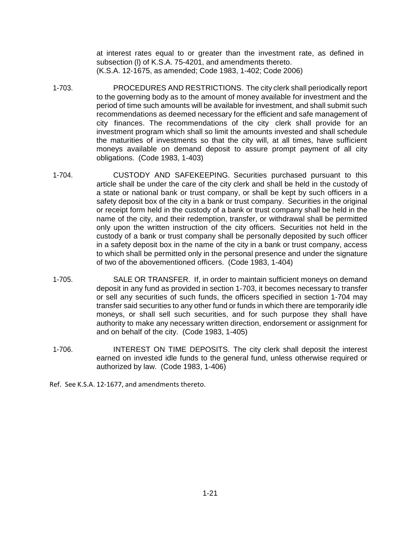at interest rates equal to or greater than the investment rate, as defined in subsection (l) of K.S.A. 75-4201, and amendments thereto. (K.S.A. 12-1675, as amended; Code 1983, 1-402; Code 2006)

- 1-703. PROCEDURES AND RESTRICTIONS. The city clerk shall periodically report to the governing body as to the amount of money available for investment and the period of time such amounts will be available for investment, and shall submit such recommendations as deemed necessary for the efficient and safe management of city finances. The recommendations of the city clerk shall provide for an investment program which shall so limit the amounts invested and shall schedule the maturities of investments so that the city will, at all times, have sufficient moneys available on demand deposit to assure prompt payment of all city obligations. (Code 1983, 1-403)
- 1-704. CUSTODY AND SAFEKEEPING. Securities purchased pursuant to this article shall be under the care of the city clerk and shall be held in the custody of a state or national bank or trust company, or shall be kept by such officers in a safety deposit box of the city in a bank or trust company. Securities in the original or receipt form held in the custody of a bank or trust company shall be held in the name of the city, and their redemption, transfer, or withdrawal shall be permitted only upon the written instruction of the city officers. Securities not held in the custody of a bank or trust company shall be personally deposited by such officer in a safety deposit box in the name of the city in a bank or trust company, access to which shall be permitted only in the personal presence and under the signature of two of the abovementioned officers. (Code 1983, 1-404)
- 1-705. SALE OR TRANSFER. If, in order to maintain sufficient moneys on demand deposit in any fund as provided in section 1-703, it becomes necessary to transfer or sell any securities of such funds, the officers specified in section 1-704 may transfer said securities to any other fund or funds in which there are temporarily idle moneys, or shall sell such securities, and for such purpose they shall have authority to make any necessary written direction, endorsement or assignment for and on behalf of the city. (Code 1983, 1-405)
- 1-706. INTEREST ON TIME DEPOSITS. The city clerk shall deposit the interest earned on invested idle funds to the general fund, unless otherwise required or authorized by law. (Code 1983, 1-406)

Ref. See K.S.A. 12-1677, and amendments thereto.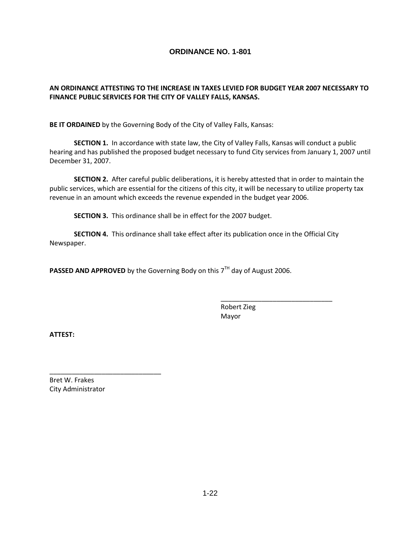#### **AN ORDINANCE ATTESTING TO THE INCREASE IN TAXES LEVIED FOR BUDGET YEAR 2007 NECESSARY TO FINANCE PUBLIC SERVICES FOR THE CITY OF VALLEY FALLS, KANSAS.**

**BE IT ORDAINED** by the Governing Body of the City of Valley Falls, Kansas:

**SECTION 1.** In accordance with state law, the City of Valley Falls, Kansas will conduct a public hearing and has published the proposed budget necessary to fund City services from January 1, 2007 until December 31, 2007.

**SECTION 2.** After careful public deliberations, it is hereby attested that in order to maintain the public services, which are essential for the citizens of this city, it will be necessary to utilize property tax revenue in an amount which exceeds the revenue expended in the budget year 2006.

**SECTION 3.** This ordinance shall be in effect for the 2007 budget.

**SECTION 4.** This ordinance shall take effect after its publication once in the Official City Newspaper.

**PASSED AND APPROVED** by the Governing Body on this 7<sup>TH</sup> day of August 2006.

Robert Zieg Mayor

\_\_\_\_\_\_\_\_\_\_\_\_\_\_\_\_\_\_\_\_\_\_\_\_\_\_\_\_\_\_

**ATTEST:**

Bret W. Frakes City Administrator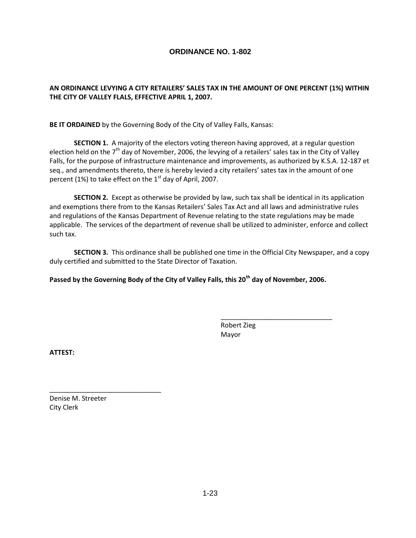#### **AN ORDINANCE LEVYING A CITY RETAILERS' SALES TAX IN THE AMOUNT OF ONE PERCENT (1%) WITHIN THE CITY OF VALLEY FLALS, EFFECTIVE APRIL 1, 2007.**

**BE IT ORDAINED** by the Governing Body of the City of Valley Falls, Kansas:

**SECTION 1.** A majority of the electors voting thereon having approved, at a regular question election held on the  $7<sup>th</sup>$  day of November, 2006, the levying of a retailers' sales tax in the City of Valley Falls, for the purpose of infrastructure maintenance and improvements, as authorized by K.S.A. 12-187 et seq., and amendments thereto, there is hereby levied a city retailers' sates tax in the amount of one percent (1%) to take effect on the  $1<sup>st</sup>$  day of April, 2007.

**SECTION 2.** Except as otherwise be provided by law, such tax shall be identical in its application and exemptions there from to the Kansas Retailers' Sales Tax Act and all laws and administrative rules and regulations of the Kansas Department of Revenue relating to the state regulations may be made applicable. The services of the department of revenue shall be utilized to administer, enforce and collect such tax.

**SECTION 3.** This ordinance shall be published one time in the Official City Newspaper, and a copy duly certified and submitted to the State Director of Taxation.

**Passed by the Governing Body of the City of Valley Falls, this 20th day of November, 2006.**

Robert Zieg Mayor

\_\_\_\_\_\_\_\_\_\_\_\_\_\_\_\_\_\_\_\_\_\_\_\_\_\_\_\_\_\_

**ATTEST:**

Denise M. Streeter City Clerk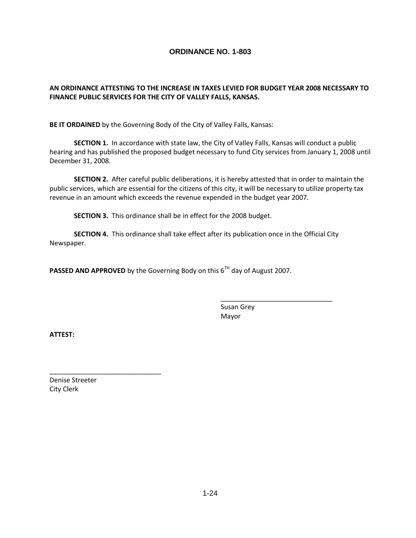#### **AN ORDINANCE ATTESTING TO THE INCREASE IN TAXES LEVIED FOR BUDGET YEAR 2008 NECESSARY TO FINANCE PUBLIC SERVICES FOR THE CITY OF VALLEY FALLS, KANSAS.**

**BE IT ORDAINED** by the Governing Body of the City of Valley Falls, Kansas:

**SECTION 1.** In accordance with state law, the City of Valley Falls, Kansas will conduct a public hearing and has published the proposed budget necessary to fund City services from January 1, 2008 until December 31, 2008.

**SECTION 2.** After careful public deliberations, it is hereby attested that in order to maintain the public services, which are essential for the citizens of this city, it will be necessary to utilize property tax revenue in an amount which exceeds the revenue expended in the budget year 2007.

**SECTION 3.** This ordinance shall be in effect for the 2008 budget.

**SECTION 4.** This ordinance shall take effect after its publication once in the Official City Newspaper.

**PASSED AND APPROVED** by the Governing Body on this 6<sup>TH</sup> day of August 2007.

Susan Grey Mayor

\_\_\_\_\_\_\_\_\_\_\_\_\_\_\_\_\_\_\_\_\_\_\_\_\_\_\_\_\_\_

**ATTEST:**

Denise Streeter City Clerk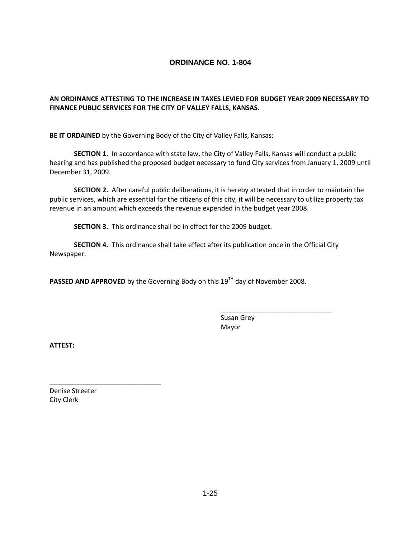## **AN ORDINANCE ATTESTING TO THE INCREASE IN TAXES LEVIED FOR BUDGET YEAR 2009 NECESSARY TO FINANCE PUBLIC SERVICES FOR THE CITY OF VALLEY FALLS, KANSAS.**

**BE IT ORDAINED** by the Governing Body of the City of Valley Falls, Kansas:

**SECTION 1.** In accordance with state law, the City of Valley Falls, Kansas will conduct a public hearing and has published the proposed budget necessary to fund City services from January 1, 2009 until December 31, 2009.

**SECTION 2.** After careful public deliberations, it is hereby attested that in order to maintain the public services, which are essential for the citizens of this city, it will be necessary to utilize property tax revenue in an amount which exceeds the revenue expended in the budget year 2008.

**SECTION 3.** This ordinance shall be in effect for the 2009 budget.

**SECTION 4.** This ordinance shall take effect after its publication once in the Official City Newspaper.

**PASSED AND APPROVED** by the Governing Body on this 19<sup>TH</sup> day of November 2008.

Susan Grey Mayor

\_\_\_\_\_\_\_\_\_\_\_\_\_\_\_\_\_\_\_\_\_\_\_\_\_\_\_\_\_\_

**ATTEST:**

Denise Streeter City Clerk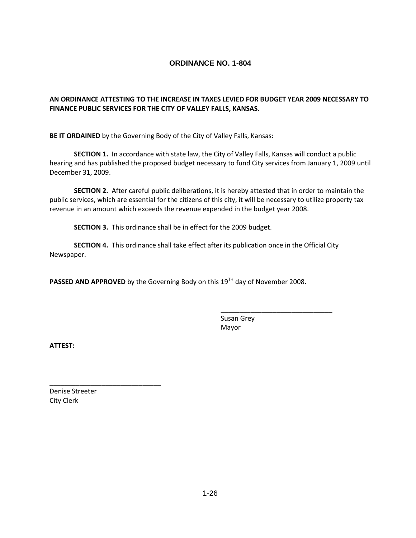## **AN ORDINANCE ATTESTING TO THE INCREASE IN TAXES LEVIED FOR BUDGET YEAR 2009 NECESSARY TO FINANCE PUBLIC SERVICES FOR THE CITY OF VALLEY FALLS, KANSAS.**

**BE IT ORDAINED** by the Governing Body of the City of Valley Falls, Kansas:

**SECTION 1.** In accordance with state law, the City of Valley Falls, Kansas will conduct a public hearing and has published the proposed budget necessary to fund City services from January 1, 2009 until December 31, 2009.

**SECTION 2.** After careful public deliberations, it is hereby attested that in order to maintain the public services, which are essential for the citizens of this city, it will be necessary to utilize property tax revenue in an amount which exceeds the revenue expended in the budget year 2008.

**SECTION 3.** This ordinance shall be in effect for the 2009 budget.

**SECTION 4.** This ordinance shall take effect after its publication once in the Official City Newspaper.

**PASSED AND APPROVED** by the Governing Body on this 19<sup>TH</sup> day of November 2008.

Susan Grey Mayor

\_\_\_\_\_\_\_\_\_\_\_\_\_\_\_\_\_\_\_\_\_\_\_\_\_\_\_\_\_\_

**ATTEST:**

Denise Streeter City Clerk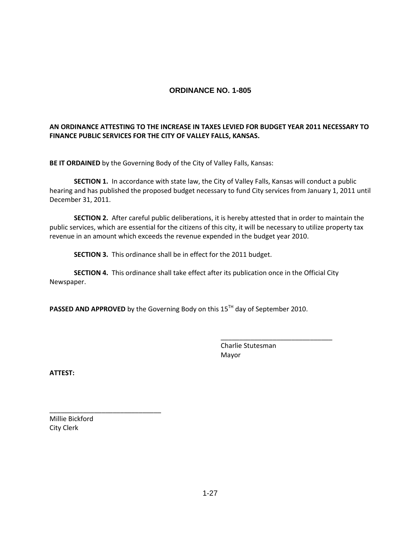## **AN ORDINANCE ATTESTING TO THE INCREASE IN TAXES LEVIED FOR BUDGET YEAR 2011 NECESSARY TO FINANCE PUBLIC SERVICES FOR THE CITY OF VALLEY FALLS, KANSAS.**

**BE IT ORDAINED** by the Governing Body of the City of Valley Falls, Kansas:

**SECTION 1.** In accordance with state law, the City of Valley Falls, Kansas will conduct a public hearing and has published the proposed budget necessary to fund City services from January 1, 2011 until December 31, 2011.

**SECTION 2.** After careful public deliberations, it is hereby attested that in order to maintain the public services, which are essential for the citizens of this city, it will be necessary to utilize property tax revenue in an amount which exceeds the revenue expended in the budget year 2010.

**SECTION 3.** This ordinance shall be in effect for the 2011 budget.

**SECTION 4.** This ordinance shall take effect after its publication once in the Official City Newspaper.

PASSED AND APPROVED by the Governing Body on this 15<sup>TH</sup> day of September 2010.

Charlie Stutesman Mayor

\_\_\_\_\_\_\_\_\_\_\_\_\_\_\_\_\_\_\_\_\_\_\_\_\_\_\_\_\_\_

**ATTEST:**

Millie Bickford City Clerk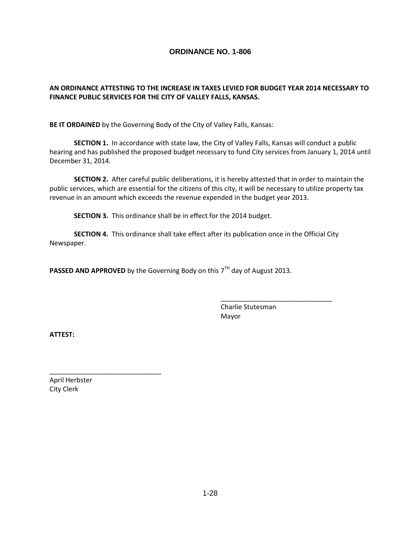#### **AN ORDINANCE ATTESTING TO THE INCREASE IN TAXES LEVIED FOR BUDGET YEAR 2014 NECESSARY TO FINANCE PUBLIC SERVICES FOR THE CITY OF VALLEY FALLS, KANSAS.**

**BE IT ORDAINED** by the Governing Body of the City of Valley Falls, Kansas:

**SECTION 1.** In accordance with state law, the City of Valley Falls, Kansas will conduct a public hearing and has published the proposed budget necessary to fund City services from January 1, 2014 until December 31, 2014.

**SECTION 2.** After careful public deliberations, it is hereby attested that in order to maintain the public services, which are essential for the citizens of this city, it will be necessary to utilize property tax revenue in an amount which exceeds the revenue expended in the budget year 2013.

**SECTION 3.** This ordinance shall be in effect for the 2014 budget.

**SECTION 4.** This ordinance shall take effect after its publication once in the Official City Newspaper.

PASSED AND APPROVED by the Governing Body on this 7<sup>TH</sup> day of August 2013.

Charlie Stutesman Mayor

\_\_\_\_\_\_\_\_\_\_\_\_\_\_\_\_\_\_\_\_\_\_\_\_\_\_\_\_\_\_

**ATTEST:**

April Herbster City Clerk